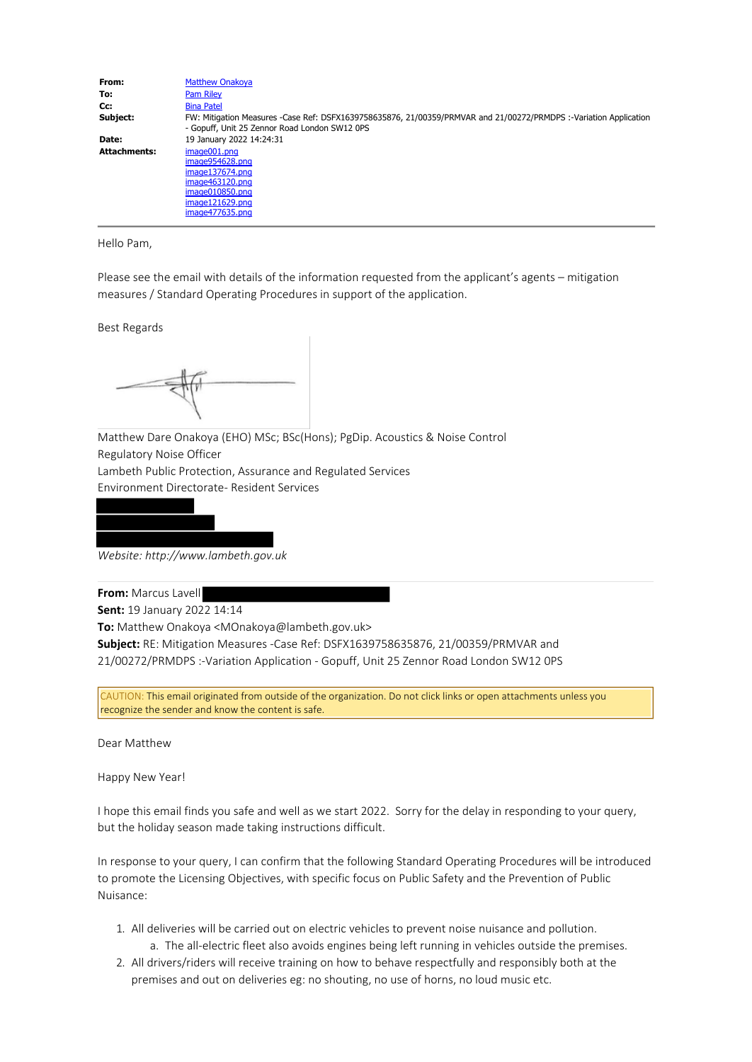| FW: Mitigation Measures -Case Ref: DSFX1639758635876, 21/00359/PRMVAR and 21/00272/PRMDPS :-Variation Application |
|-------------------------------------------------------------------------------------------------------------------|
|                                                                                                                   |
|                                                                                                                   |
|                                                                                                                   |
|                                                                                                                   |
|                                                                                                                   |
|                                                                                                                   |
|                                                                                                                   |

Hello Pam,

Please see the email with details of the information requested from the applicant's agents – mitigation measures / Standard Operating Procedures in support of the application.

Best Regards

Matthew Dare Onakoya (EHO) MSc; BSc(Hons); PgDip. Acoustics & Noise Control Regulatory Noise Officer Lambeth Public Protection, Assurance and Regulated Services Environment Directorate- Resident Services



*Website: http://www.lambeth.gov.uk*

**From:** Marcus Lavell

**Sent:** 19 January 2022 14:14

**To:** Matthew Onakoya <MOnakoya@lambeth.gov.uk>

**Subject:** RE: Mitigation Measures -Case Ref: DSFX1639758635876, 21/00359/PRMVAR and 21/00272/PRMDPS :-Variation Application - Gopuff, Unit 25 Zennor Road London SW12 0PS

CAUTION: This email originated from outside of the organization. Do not click links or open attachments unless you recognize the sender and know the content is safe.

Dear Matthew

Happy New Year!

I hope this email finds you safe and well as we start 2022. Sorry for the delay in responding to your query, but the holiday season made taking instructions difficult.

In response to your query, I can confirm that the following Standard Operating Procedures will be introduced to promote the Licensing Objectives, with specific focus on Public Safety and the Prevention of Public Nuisance:

- 1. All deliveries will be carried out on electric vehicles to prevent noise nuisance and pollution. a. The all-electric fleet also avoids engines being left running in vehicles outside the premises.
- 2. All drivers/riders will receive training on how to behave respectfully and responsibly both at the premises and out on deliveries eg: no shouting, no use of horns, no loud music etc.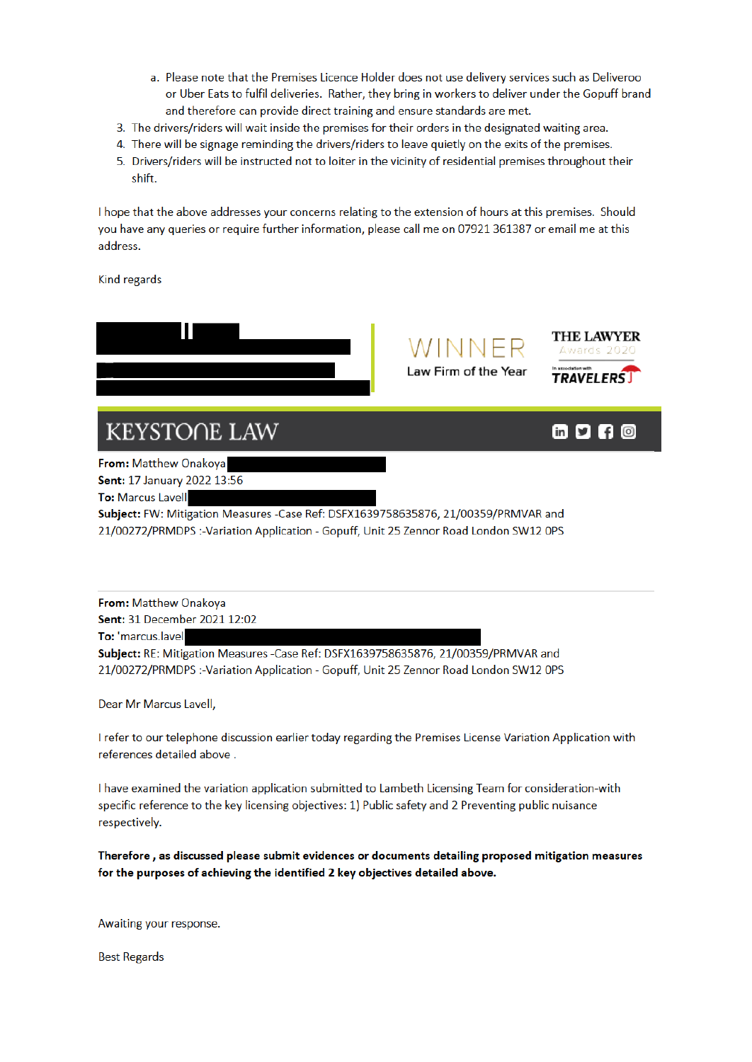- a. Please note that the Premises Licence Holder does not use delivery services such as Deliveroo or Uber Eats to fulfil deliveries. Rather, they bring in workers to deliver under the Gopuff brand and therefore can provide direct training and ensure standards are met.
- 3. The drivers/riders will wait inside the premises for their orders in the designated waiting area.
- 4. There will be signage reminding the drivers/riders to leave quietly on the exits of the premises.
- 5. Drivers/riders will be instructed not to loiter in the vicinity of residential premises throughout their shift.

I hope that the above addresses your concerns relating to the extension of hours at this premises. Should you have any queries or require further information, please call me on 07921 361387 or email me at this address.

Kind regards



From: Matthew Onakova Sent: 31 December 2021 12:02 To: 'marcus.lavel Subject: RE: Mitigation Measures -Case Ref: DSFX1639758635876, 21/00359/PRMVAR and 21/00272/PRMDPS :-Variation Application - Gopuff, Unit 25 Zennor Road London SW12 OPS

Dear Mr Marcus Lavell,

I refer to our telephone discussion earlier today regarding the Premises License Variation Application with references detailed above.

I have examined the variation application submitted to Lambeth Licensing Team for consideration-with specific reference to the key licensing objectives: 1) Public safety and 2 Preventing public nuisance respectively.

Therefore, as discussed please submit evidences or documents detailing proposed mitigation measures for the purposes of achieving the identified 2 key objectives detailed above.

Awaiting your response.

**Best Regards**